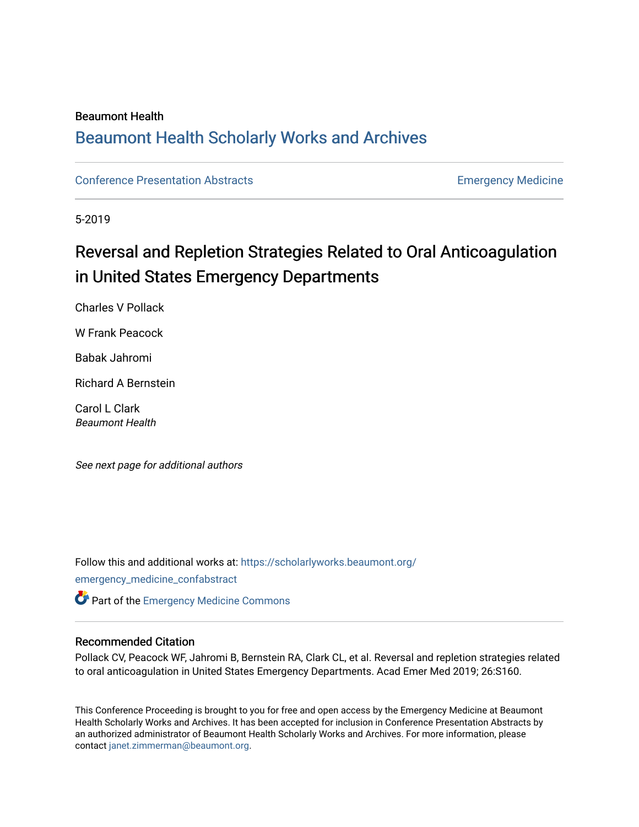#### Beaumont Health

## [Beaumont Health Scholarly Works and Archives](https://scholarlyworks.beaumont.org/)

[Conference Presentation Abstracts](https://scholarlyworks.beaumont.org/emergency_medicine_confabstract) **Emergency Medicine** 

5-2019

# Reversal and Repletion Strategies Related to Oral Anticoagulation in United States Emergency Departments

Charles V Pollack

W Frank Peacock

Babak Jahromi

Richard A Bernstein

Carol L Clark Beaumont Health

See next page for additional authors

Follow this and additional works at: [https://scholarlyworks.beaumont.org/](https://scholarlyworks.beaumont.org/emergency_medicine_confabstract?utm_source=scholarlyworks.beaumont.org%2Femergency_medicine_confabstract%2F15&utm_medium=PDF&utm_campaign=PDFCoverPages) [emergency\\_medicine\\_confabstract](https://scholarlyworks.beaumont.org/emergency_medicine_confabstract?utm_source=scholarlyworks.beaumont.org%2Femergency_medicine_confabstract%2F15&utm_medium=PDF&utm_campaign=PDFCoverPages)

**Part of the [Emergency Medicine Commons](http://network.bepress.com/hgg/discipline/685?utm_source=scholarlyworks.beaumont.org%2Femergency_medicine_confabstract%2F15&utm_medium=PDF&utm_campaign=PDFCoverPages)** 

#### Recommended Citation

Pollack CV, Peacock WF, Jahromi B, Bernstein RA, Clark CL, et al. Reversal and repletion strategies related to oral anticoagulation in United States Emergency Departments. Acad Emer Med 2019; 26:S160.

This Conference Proceeding is brought to you for free and open access by the Emergency Medicine at Beaumont Health Scholarly Works and Archives. It has been accepted for inclusion in Conference Presentation Abstracts by an authorized administrator of Beaumont Health Scholarly Works and Archives. For more information, please contact [janet.zimmerman@beaumont.org.](mailto:janet.zimmerman@beaumont.org)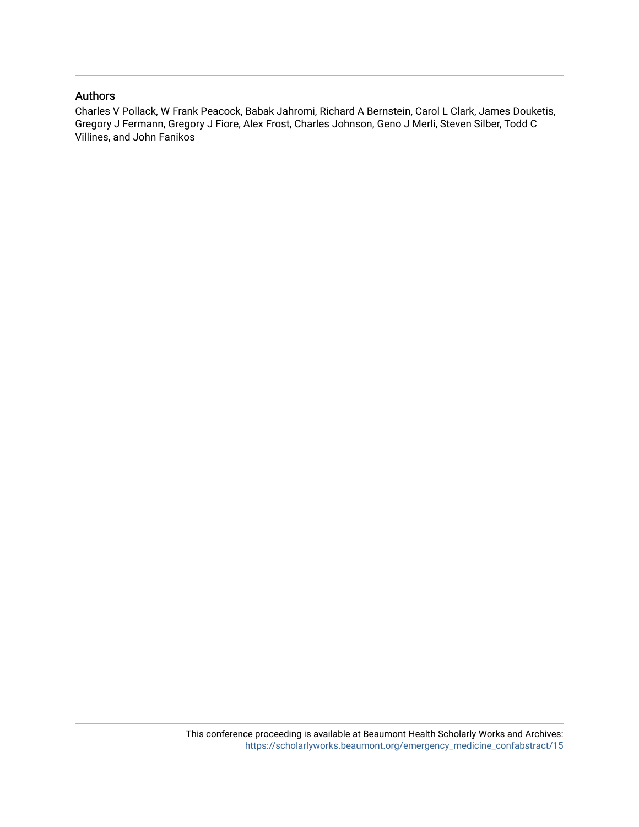### Authors

Charles V Pollack, W Frank Peacock, Babak Jahromi, Richard A Bernstein, Carol L Clark, James Douketis, Gregory J Fermann, Gregory J Fiore, Alex Frost, Charles Johnson, Geno J Merli, Steven Silber, Todd C Villines, and John Fanikos